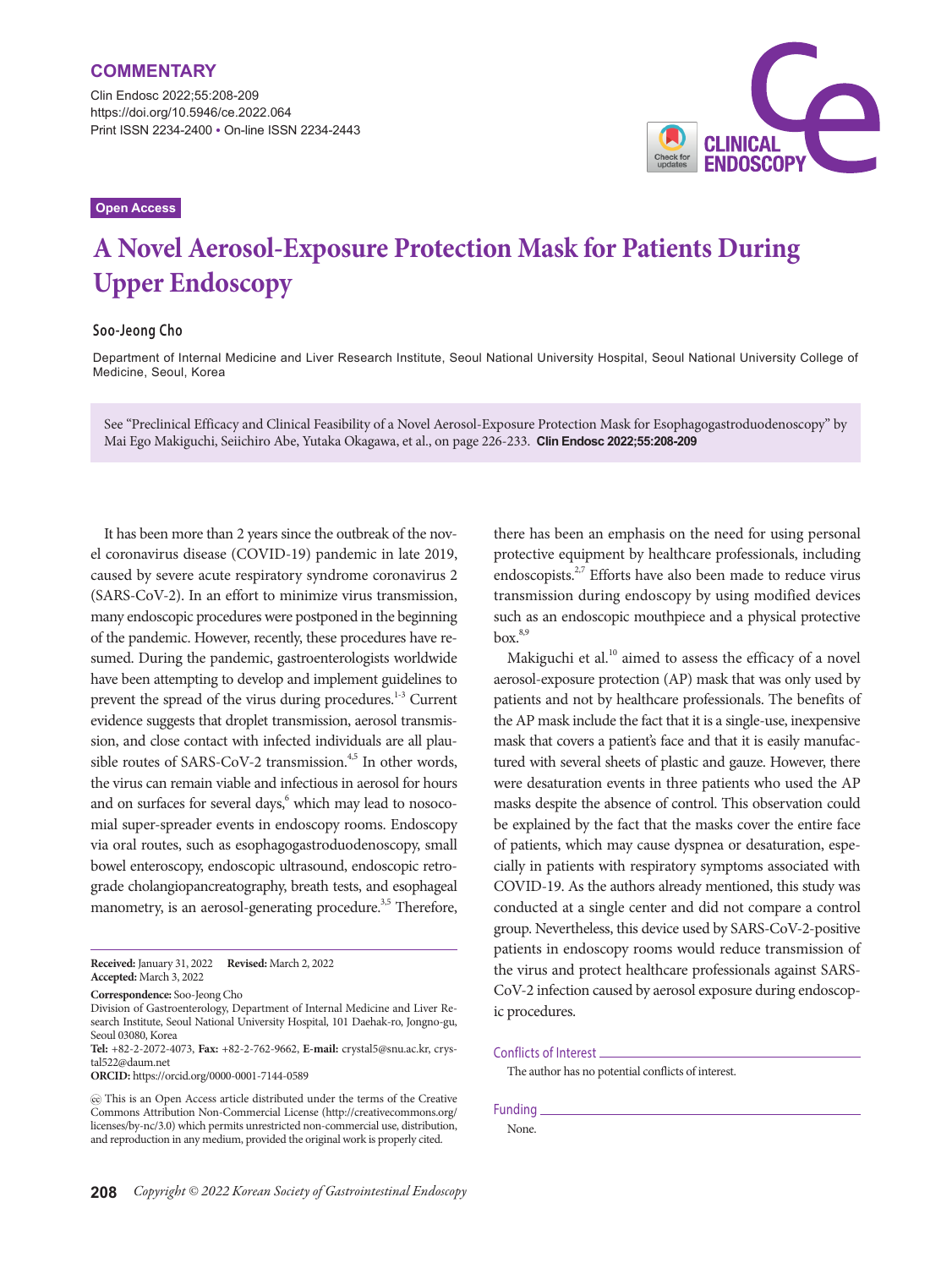Clin Endosc 2022;55:208-209 https://doi.org/10.5946/ce.2022.064 Print ISSN 2234-2400 • On-line ISSN 2234-2443



## **Open Access**

# **A Novel Aerosol-Exposure Protection Mask for Patients During Upper Endoscopy**

## **Soo-Jeong Cho**

Department of Internal Medicine and Liver Research Institute, Seoul National University Hospital, Seoul National University College of Medicine, Seoul, Korea

See "Preclinical Efficacy and Clinical Feasibility of a Novel Aerosol-Exposure Protection Mask for Esophagogastroduodenoscopy" by Mai Ego Makiguchi, Seiichiro Abe, Yutaka Okagawa, et al., on page 226-233. **Clin Endosc 2022;55:208-209**

It has been more than 2 years since the outbreak of the novel coronavirus disease (COVID-19) pandemic in late 2019, caused by severe acute respiratory syndrome coronavirus 2 (SARS-CoV-2). In an effort to minimize virus transmission, many endoscopic procedures were postponed in the beginning of the pandemic. However, recently, these procedures have resumed. During the pandemic, gastroenterologists worldwide have been attempting to develop and implement guidelines to prevent the spread of the virus during procedures.<sup>1-3</sup> Current evidence suggests that droplet transmission, aerosol transmission, and close contact with infected individuals are all plausible routes of SARS-CoV-2 transmission.<sup>4,5</sup> In other words, the virus can remain viable and infectious in aerosol for hours and on surfaces for several days,<sup>6</sup> which may lead to nosocomial super-spreader events in endoscopy rooms. Endoscopy via oral routes, such as esophagogastroduodenoscopy, small bowel enteroscopy, endoscopic ultrasound, endoscopic retrograde cholangiopancreatography, breath tests, and esophageal manometry, is an aerosol-generating procedure.<sup>3,5</sup> Therefore,

**Received:** January 31, 2022 **Revised:** March 2, 2022 **Accepted:** March 3, 2022

**Tel:** +82-2-2072-4073, **Fax:** +82-2-762-9662, **E-mail:** crystal5@snu.ac.kr, crystal522@daum.net

**ORCID:** https://orcid.org/0000-0001-7144-0589

 This is an Open Access article distributed under the terms of the Creative Commons Attribution Non-Commercial License (http://creativecommons.org/ licenses/by-nc/3.0) which permits unrestricted non-commercial use, distribution, and reproduction in any medium, provided the original work is properly cited.

there has been an emphasis on the need for using personal protective equipment by healthcare professionals, including endoscopists.<sup>2,7</sup> Efforts have also been made to reduce virus transmission during endoscopy by using modified devices such as an endoscopic mouthpiece and a physical protective  $box.<sup>8,9</sup>$ 

Makiguchi et al. $^{10}$  aimed to assess the efficacy of a novel aerosol-exposure protection (AP) mask that was only used by patients and not by healthcare professionals. The benefits of the AP mask include the fact that it is a single-use, inexpensive mask that covers a patient's face and that it is easily manufactured with several sheets of plastic and gauze. However, there were desaturation events in three patients who used the AP masks despite the absence of control. This observation could be explained by the fact that the masks cover the entire face of patients, which may cause dyspnea or desaturation, especially in patients with respiratory symptoms associated with COVID-19. As the authors already mentioned, this study was conducted at a single center and did not compare a control group. Nevertheless, this device used by SARS-CoV-2-positive patients in endoscopy rooms would reduce transmission of the virus and protect healthcare professionals against SARS-CoV-2 infection caused by aerosol exposure during endoscopic procedures.

### Conflicts of Interest

The author has no potential conflicts of interest.

Funding None.

**Correspondence:** Soo-Jeong Cho

Division of Gastroenterology, Department of Internal Medicine and Liver Research Institute, Seoul National University Hospital, 101 Daehak-ro, Jongno-gu, Seoul 03080, Korea